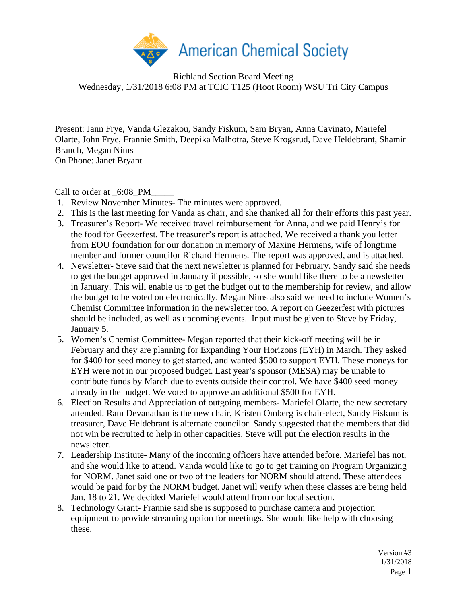

Richland Section Board Meeting Wednesday, 1/31/2018 6:08 PM at TCIC T125 (Hoot Room) WSU Tri City Campus

Present: Jann Frye, Vanda Glezakou, Sandy Fiskum, Sam Bryan, Anna Cavinato, Mariefel Olarte, John Frye, Frannie Smith, Deepika Malhotra, Steve Krogsrud, Dave Heldebrant, Shamir Branch, Megan Nims On Phone: Janet Bryant

Call to order at \_6:08\_PM

- 1. Review November Minutes- The minutes were approved.
- 2. This is the last meeting for Vanda as chair, and she thanked all for their efforts this past year.
- 3. Treasurer's Report- We received travel reimbursement for Anna, and we paid Henry's for the food for Geezerfest. The treasurer's report is attached. We received a thank you letter from EOU foundation for our donation in memory of Maxine Hermens, wife of longtime member and former councilor Richard Hermens. The report was approved, and is attached.
- 4. Newsletter- Steve said that the next newsletter is planned for February. Sandy said she needs to get the budget approved in January if possible, so she would like there to be a newsletter in January. This will enable us to get the budget out to the membership for review, and allow the budget to be voted on electronically. Megan Nims also said we need to include Women's Chemist Committee information in the newsletter too. A report on Geezerfest with pictures should be included, as well as upcoming events. Input must be given to Steve by Friday, January 5.
- 5. Women's Chemist Committee- Megan reported that their kick-off meeting will be in February and they are planning for Expanding Your Horizons (EYH) in March. They asked for \$400 for seed money to get started, and wanted \$500 to support EYH. These moneys for EYH were not in our proposed budget. Last year's sponsor (MESA) may be unable to contribute funds by March due to events outside their control. We have \$400 seed money already in the budget. We voted to approve an additional \$500 for EYH.
- 6. Election Results and Appreciation of outgoing members- Mariefel Olarte, the new secretary attended. Ram Devanathan is the new chair, Kristen Omberg is chair-elect, Sandy Fiskum is treasurer, Dave Heldebrant is alternate councilor. Sandy suggested that the members that did not win be recruited to help in other capacities. Steve will put the election results in the newsletter.
- 7. Leadership Institute- Many of the incoming officers have attended before. Mariefel has not, and she would like to attend. Vanda would like to go to get training on Program Organizing for NORM. Janet said one or two of the leaders for NORM should attend. These attendees would be paid for by the NORM budget. Janet will verify when these classes are being held Jan. 18 to 21. We decided Mariefel would attend from our local section.
- 8. Technology Grant- Frannie said she is supposed to purchase camera and projection equipment to provide streaming option for meetings. She would like help with choosing these.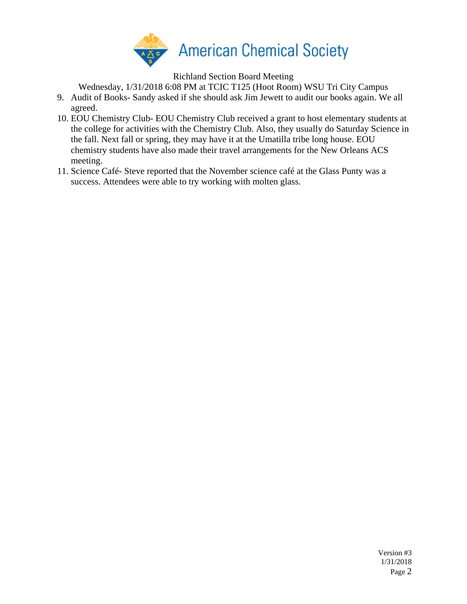

Richland Section Board Meeting

Wednesday, 1/31/2018 6:08 PM at TCIC T125 (Hoot Room) WSU Tri City Campus

- 9. Audit of Books- Sandy asked if she should ask Jim Jewett to audit our books again. We all agreed.
- 10. EOU Chemistry Club- EOU Chemistry Club received a grant to host elementary students at the college for activities with the Chemistry Club. Also, they usually do Saturday Science in the fall. Next fall or spring, they may have it at the Umatilla tribe long house. EOU chemistry students have also made their travel arrangements for the New Orleans ACS meeting.
- 11. Science Café- Steve reported that the November science café at the Glass Punty was a success. Attendees were able to try working with molten glass.